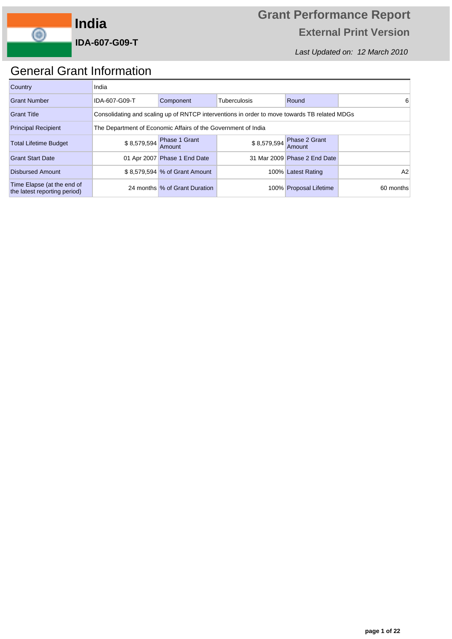

Last Updated on: 12 March 2010

## General Grant Information

| Country                                                    | India         |                                                               |                                                                                              |                                     |           |  |  |  |  |
|------------------------------------------------------------|---------------|---------------------------------------------------------------|----------------------------------------------------------------------------------------------|-------------------------------------|-----------|--|--|--|--|
| <b>Grant Number</b>                                        | IDA-607-G09-T | Component                                                     | Tuberculosis                                                                                 | Round                               | 6         |  |  |  |  |
| <b>Grant Title</b>                                         |               |                                                               | Consolidating and scaling up of RNTCP interventions in order to move towards TB related MDGs |                                     |           |  |  |  |  |
| <b>Principal Recipient</b>                                 |               | The Department of Economic Affairs of the Government of India |                                                                                              |                                     |           |  |  |  |  |
| <b>Total Lifetime Budget</b>                               |               | $$8,579,594$ Phase 1 Grant                                    |                                                                                              | \$8,579,594 Phase 2 Grant<br>Amount |           |  |  |  |  |
| <b>Grant Start Date</b>                                    |               | 01 Apr 2007 Phase 1 End Date                                  |                                                                                              | 31 Mar 2009 Phase 2 End Date        |           |  |  |  |  |
| <b>Disbursed Amount</b>                                    |               | \$8,579,594 % of Grant Amount                                 |                                                                                              | 100% Latest Rating                  | A2        |  |  |  |  |
| Time Elapse (at the end of<br>the latest reporting period) |               | 24 months % of Grant Duration                                 |                                                                                              | 100% Proposal Lifetime              | 60 months |  |  |  |  |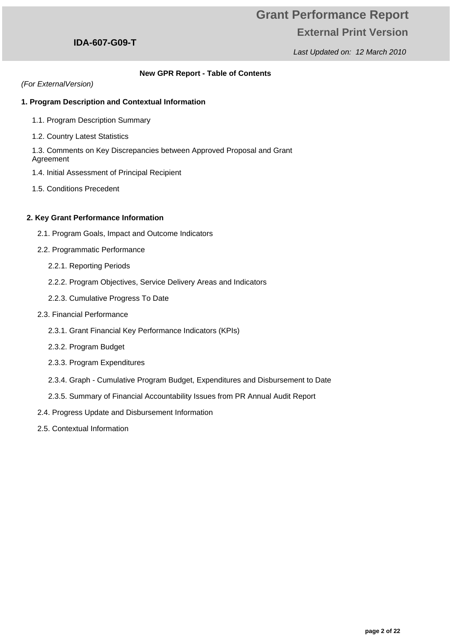### Last Updated on: 12 March 2010

### **IDA-607-G09-T**

### **New GPR Report - Table of Contents**

#### (For ExternalVersion)

### **1. Program Description and Contextual Information**

- 1.1. Program Description Summary
- 1.2. Country Latest Statistics

1.3. Comments on Key Discrepancies between Approved Proposal and Grant Agreement

- 1.4. Initial Assessment of Principal Recipient
- 1.5. Conditions Precedent

#### **2. Key Grant Performance Information**

- 2.1. Program Goals, Impact and Outcome Indicators
- 2.2. Programmatic Performance
	- 2.2.1. Reporting Periods
	- 2.2.2. Program Objectives, Service Delivery Areas and Indicators
	- 2.2.3. Cumulative Progress To Date
- 2.3. Financial Performance
	- 2.3.1. Grant Financial Key Performance Indicators (KPIs)
	- 2.3.2. Program Budget
	- 2.3.3. Program Expenditures
	- 2.3.4. Graph Cumulative Program Budget, Expenditures and Disbursement to Date
	- 2.3.5. Summary of Financial Accountability Issues from PR Annual Audit Report
- 2.4. Progress Update and Disbursement Information
- 2.5. Contextual Information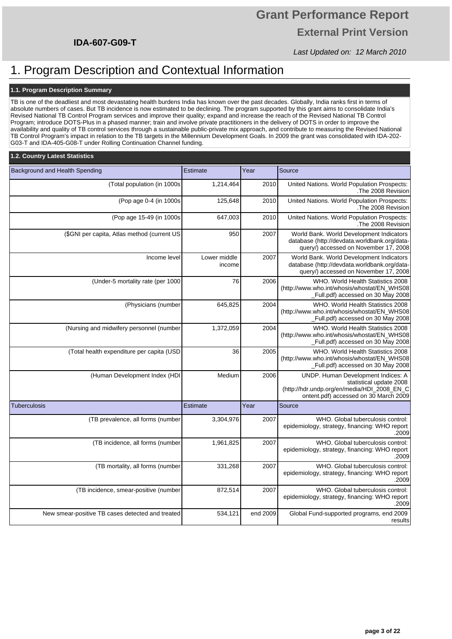Last Updated on: 12 March 2010

### **IDA-607-G09-T**

## 1. Program Description and Contextual Information

#### **1.1. Program Description Summary**

TB is one of the deadliest and most devastating health burdens India has known over the past decades. Globally, India ranks first in terms of absolute numbers of cases. But TB incidence is now estimated to be declining. The program supported by this grant aims to consolidate India's Revised National TB Control Program services and improve their quality; expand and increase the reach of the Revised National TB Control Program; introduce DOTS-Plus in a phased manner; train and involve private practitioners in the delivery of DOTS in order to improve the availability and quality of TB control services through a sustainable public-private mix approach, and contribute to measuring the Revised National TB Control Program's impact in relation to the TB targets in the Millennium Development Goals. In 2009 the grant was consolidated with IDA-202- G03-T and IDA-405-G08-T under Rolling Continuation Channel funding.

#### **1.2. Country Latest Statistics**

| Background and Health Spending                   | Estimate               | Year     | Source                                                                                                                                                |
|--------------------------------------------------|------------------------|----------|-------------------------------------------------------------------------------------------------------------------------------------------------------|
| (Total population (in 1000s)                     | 1,214,464              | 2010     | United Nations. World Population Prospects:<br>The 2008 Revision                                                                                      |
| (Pop age 0-4 (in 1000s)                          | 125,648                | 2010     | United Nations. World Population Prospects:<br>The 2008 Revision                                                                                      |
| (Pop age 15-49 (in 1000s                         | 647,003                | 2010     | United Nations. World Population Prospects:<br>The 2008 Revision                                                                                      |
| (\$GNI per capita, Atlas method (current US      | 950                    | 2007     | World Bank. World Development Indicators<br>database (http://devdata.worldbank.org/data-<br>query/) accessed on November 17, 2008                     |
| Income level                                     | Lower middle<br>income | 2007     | World Bank. World Development Indicators<br>database (http://devdata.worldbank.org/data-<br>query/) accessed on November 17, 2008                     |
| (Under-5 mortality rate (per 1000                | 76                     | 2006     | WHO. World Health Statistics 2008<br>(http://www.who.int/whosis/whostat/EN WHS08<br>Full.pdf) accessed on 30 May 2008                                 |
| (Physicians (number                              | 645,825                | 2004     | WHO. World Health Statistics 2008<br>(http://www.who.int/whosis/whostat/EN WHS08<br>Full.pdf) accessed on 30 May 2008                                 |
| (Nursing and midwifery personnel (number         | 1,372,059              | 2004     | WHO. World Health Statistics 2008<br>(http://www.who.int/whosis/whostat/EN WHS08<br>Full.pdf) accessed on 30 May 2008                                 |
| (Total health expenditure per capita (USD        | 36                     | 2005     | WHO. World Health Statistics 2008<br>(http://www.who.int/whosis/whostat/EN WHS08<br>_Full.pdf) accessed on 30 May 2008                                |
| (Human Development Index (HDI                    | Medium                 | 2006     | UNDP. Human Development Indices: A<br>statistical update 2008<br>(http://hdr.undp.org/en/media/HDI_2008_EN_C<br>ontent.pdf) accessed on 30 March 2009 |
| <b>Tuberculosis</b>                              | Estimate               | Year     | Source                                                                                                                                                |
| (TB prevalence, all forms (number                | 3,304,976              | 2007     | WHO. Global tuberculosis control:<br>epidemiology, strategy, financing: WHO report<br>.2009                                                           |
| (TB incidence, all forms (number                 | 1,961,825              | 2007     | WHO. Global tuberculosis control:<br>epidemiology, strategy, financing: WHO report<br>.2009                                                           |
| (TB mortality, all forms (number                 | 331,268                | 2007     | WHO. Global tuberculosis control:<br>epidemiology, strategy, financing: WHO report<br>.2009                                                           |
| (TB incidence, smear-positive (number            | 872,514                | 2007     | WHO. Global tuberculosis control:<br>epidemiology, strategy, financing: WHO report<br>.2009                                                           |
| New smear-positive TB cases detected and treated | 534,121                | end 2009 | Global Fund-supported programs, end 2009<br>results                                                                                                   |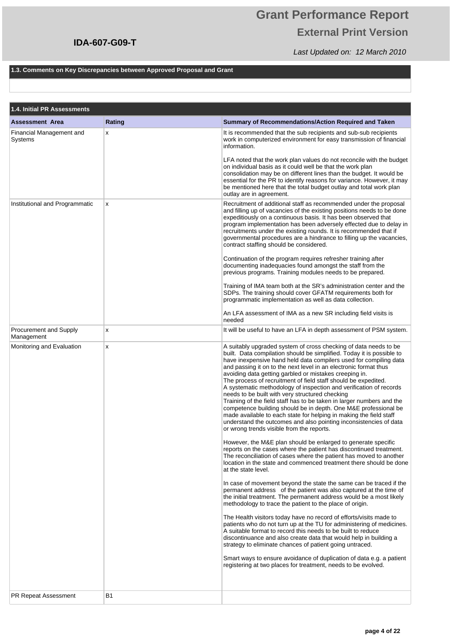# **Grant Performance Report External Print Version**

Last Updated on: 12 March 2010

#### **1.3. Comments on Key Discrepancies between Approved Proposal and Grant**

| 1.4. Initial PR Assessments          |           |                                                                                                                                                                                                                                                                                                                                                                                                                                                                                                                                                                                                                                                                                                                                                                                                                                                                                                                                                                                                                                                                                                                                                                                                                                                                                                                                                                                                                                                                                                                                                                                                                                                                                    |
|--------------------------------------|-----------|------------------------------------------------------------------------------------------------------------------------------------------------------------------------------------------------------------------------------------------------------------------------------------------------------------------------------------------------------------------------------------------------------------------------------------------------------------------------------------------------------------------------------------------------------------------------------------------------------------------------------------------------------------------------------------------------------------------------------------------------------------------------------------------------------------------------------------------------------------------------------------------------------------------------------------------------------------------------------------------------------------------------------------------------------------------------------------------------------------------------------------------------------------------------------------------------------------------------------------------------------------------------------------------------------------------------------------------------------------------------------------------------------------------------------------------------------------------------------------------------------------------------------------------------------------------------------------------------------------------------------------------------------------------------------------|
| <b>Assessment Area</b>               | Rating    | Summary of Recommendations/Action Required and Taken                                                                                                                                                                                                                                                                                                                                                                                                                                                                                                                                                                                                                                                                                                                                                                                                                                                                                                                                                                                                                                                                                                                                                                                                                                                                                                                                                                                                                                                                                                                                                                                                                               |
| Financial Management and<br>Systems  | x         | It is recommended that the sub recipients and sub-sub recipients<br>work in computerized environment for easy transmission of financial<br>information.<br>LFA noted that the work plan values do not reconcile with the budget<br>on individual basis as it could well be that the work plan<br>consolidation may be on different lines than the budget. It would be<br>essential for the PR to identify reasons for variance. However, it may                                                                                                                                                                                                                                                                                                                                                                                                                                                                                                                                                                                                                                                                                                                                                                                                                                                                                                                                                                                                                                                                                                                                                                                                                                    |
| Institutional and Programmatic       | x         | be mentioned here that the total budget outlay and total work plan<br>outlay are in agreement.<br>Recruitment of additional staff as recommended under the proposal<br>and filling up of vacancies of the existing positions needs to be done<br>expeditiously on a continuous basis. It has been observed that<br>program implementation has been adversely effected due to delay in<br>recruitments under the existing rounds. It is recommended that if<br>governmental procedures are a hindrance to filling up the vacancies,<br>contract staffing should be considered.<br>Continuation of the program requires refresher training after<br>documenting inadequacies found amongst the staff from the<br>previous programs. Training modules needs to be prepared.<br>Training of IMA team both at the SR's administration center and the                                                                                                                                                                                                                                                                                                                                                                                                                                                                                                                                                                                                                                                                                                                                                                                                                                    |
|                                      |           | SDPs. The training should cover GFATM requirements both for<br>programmatic implementation as well as data collection.<br>An LFA assessment of IMA as a new SR including field visits is<br>needed                                                                                                                                                                                                                                                                                                                                                                                                                                                                                                                                                                                                                                                                                                                                                                                                                                                                                                                                                                                                                                                                                                                                                                                                                                                                                                                                                                                                                                                                                 |
| Procurement and Supply<br>Management | x         | It will be useful to have an LFA in depth assessment of PSM system.                                                                                                                                                                                                                                                                                                                                                                                                                                                                                                                                                                                                                                                                                                                                                                                                                                                                                                                                                                                                                                                                                                                                                                                                                                                                                                                                                                                                                                                                                                                                                                                                                |
| Monitoring and Evaluation            | x         | A suitably upgraded system of cross checking of data needs to be<br>built. Data compilation should be simplified. Today it is possible to<br>have inexpensive hand held data compilers used for compiling data<br>and passing it on to the next level in an electronic format thus<br>avoiding data getting garbled or mistakes creeping in.<br>The process of recruitment of field staff should be expedited.<br>A systematic methodology of inspection and verification of records<br>needs to be built with very structured checking<br>Training of the field staff has to be taken in larger numbers and the<br>competence building should be in depth. One M&E professional be<br>made available to each state for helping in making the field staff<br>understand the outcomes and also pointing inconsistencies of data<br>or wrong trends visible from the reports.<br>However, the M&E plan should be enlarged to generate specific<br>reports on the cases where the patient has discontinued treatment.<br>The reconciliation of cases where the patient has moved to another<br>location in the state and commenced treatment there should be done<br>at the state level.<br>In case of movement beyond the state the same can be traced if the<br>permanent address of the patient was also captured at the time of<br>the initial treatment. The permanent address would be a most likely<br>methodology to trace the patient to the place of origin.<br>The Health visitors today have no record of efforts/visits made to<br>patients who do not turn up at the TU for administering of medicines.<br>A suitable format to record this needs to be built to reduce |
|                                      |           | discontinuance and also create data that would help in building a<br>strategy to eliminate chances of patient going untraced.<br>Smart ways to ensure avoidance of duplication of data e.g. a patient<br>registering at two places for treatment, needs to be evolved.                                                                                                                                                                                                                                                                                                                                                                                                                                                                                                                                                                                                                                                                                                                                                                                                                                                                                                                                                                                                                                                                                                                                                                                                                                                                                                                                                                                                             |
| PR Repeat Assessment                 | <b>B1</b> |                                                                                                                                                                                                                                                                                                                                                                                                                                                                                                                                                                                                                                                                                                                                                                                                                                                                                                                                                                                                                                                                                                                                                                                                                                                                                                                                                                                                                                                                                                                                                                                                                                                                                    |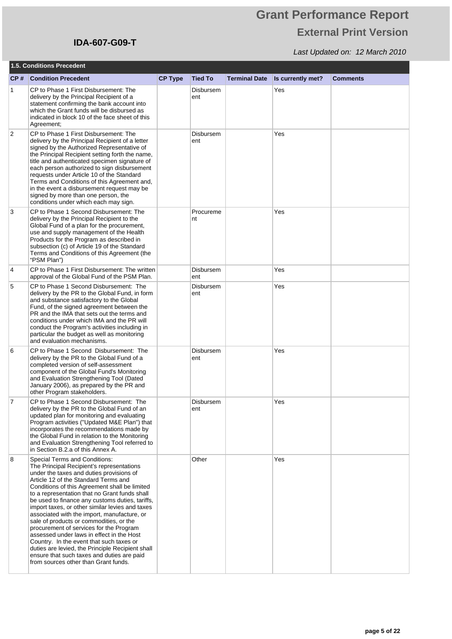# **Grant Performance Report External Print Version**

|                | <b>1.5. Conditions Precedent</b>                                                                                                                                                                                                                                                                                                                                                                                                                                                                                                                                                                                                                                                                                                               |                |                         |                      |                   |                 |
|----------------|------------------------------------------------------------------------------------------------------------------------------------------------------------------------------------------------------------------------------------------------------------------------------------------------------------------------------------------------------------------------------------------------------------------------------------------------------------------------------------------------------------------------------------------------------------------------------------------------------------------------------------------------------------------------------------------------------------------------------------------------|----------------|-------------------------|----------------------|-------------------|-----------------|
| CP#            | <b>Condition Precedent</b>                                                                                                                                                                                                                                                                                                                                                                                                                                                                                                                                                                                                                                                                                                                     | <b>CP Type</b> | <b>Tied To</b>          | <b>Terminal Date</b> | Is currently met? | <b>Comments</b> |
| 1              | CP to Phase 1 First Disbursement: The<br>delivery by the Principal Recipient of a<br>statement confirming the bank account into<br>which the Grant funds will be disbursed as<br>indicated in block 10 of the face sheet of this<br>Agreement;                                                                                                                                                                                                                                                                                                                                                                                                                                                                                                 |                | <b>Disbursem</b><br>ent |                      | Yes               |                 |
| $\overline{2}$ | CP to Phase 1 First Disbursement: The<br>delivery by the Principal Recipient of a letter<br>signed by the Authorized Representative of<br>the Principal Recipient setting forth the name,<br>title and authenticated specimen signature of<br>each person authorized to sign disbursement<br>requests under Article 10 of the Standard<br>Terms and Conditions of this Agreement and,<br>in the event a disbursement request may be<br>signed by more than one person, the<br>conditions under which each may sign.                                                                                                                                                                                                                            |                | Disbursem<br>ent        |                      | Yes               |                 |
| 3              | CP to Phase 1 Second Disbursement: The<br>delivery by the Principal Recipient to the<br>Global Fund of a plan for the procurement,<br>use and supply management of the Health<br>Products for the Program as described in<br>subsection (c) of Article 19 of the Standard<br>Terms and Conditions of this Agreement (the<br>"PSM Plan")                                                                                                                                                                                                                                                                                                                                                                                                        |                | Procureme<br>nt         |                      | Yes               |                 |
| 4              | CP to Phase 1 First Disbursement: The written<br>approval of the Global Fund of the PSM Plan.                                                                                                                                                                                                                                                                                                                                                                                                                                                                                                                                                                                                                                                  |                | Disbursem<br>ent        |                      | Yes               |                 |
| 5              | CP to Phase 1 Second Disbursement: The<br>delivery by the PR to the Global Fund, in form<br>and substance satisfactory to the Global<br>Fund, of the signed agreement between the<br>PR and the IMA that sets out the terms and<br>conditions under which IMA and the PR will<br>conduct the Program's activities including in<br>particular the budget as well as monitoring<br>and evaluation mechanisms.                                                                                                                                                                                                                                                                                                                                    |                | Disbursem<br>ent        |                      | Yes               |                 |
| 6              | CP to Phase 1 Second Disbursement: The<br>delivery by the PR to the Global Fund of a<br>completed version of self-assessment<br>component of the Global Fund's Monitoring<br>and Evaluation Strengthening Tool (Dated<br>January 2006), as prepared by the PR and<br>other Program stakeholders.                                                                                                                                                                                                                                                                                                                                                                                                                                               |                | Disbursem<br>ent        |                      | Yes               |                 |
| 7              | CP to Phase 1 Second Disbursement: The<br>delivery by the PR to the Global Fund of an<br>updated plan for monitoring and evaluating<br>Program activities ("Updated M&E Plan") that<br>incorporates the recommendations made by<br>the Global Fund in relation to the Monitoring<br>and Evaluation Strengthening Tool referred to<br>in Section B.2.a of this Annex A.                                                                                                                                                                                                                                                                                                                                                                         |                | Disbursem<br>ent        |                      | Yes               |                 |
| 8              | Special Terms and Conditions:<br>The Principal Recipient's representations<br>under the taxes and duties provisions of<br>Article 12 of the Standard Terms and<br>Conditions of this Agreement shall be limited<br>to a representation that no Grant funds shall<br>be used to finance any customs duties, tariffs,<br>import taxes, or other similar levies and taxes<br>associated with the import, manufacture, or<br>sale of products or commodities, or the<br>procurement of services for the Program<br>assessed under laws in effect in the Host<br>Country. In the event that such taxes or<br>duties are levied, the Principle Recipient shall<br>ensure that such taxes and duties are paid<br>from sources other than Grant funds. |                | Other                   |                      | Yes               |                 |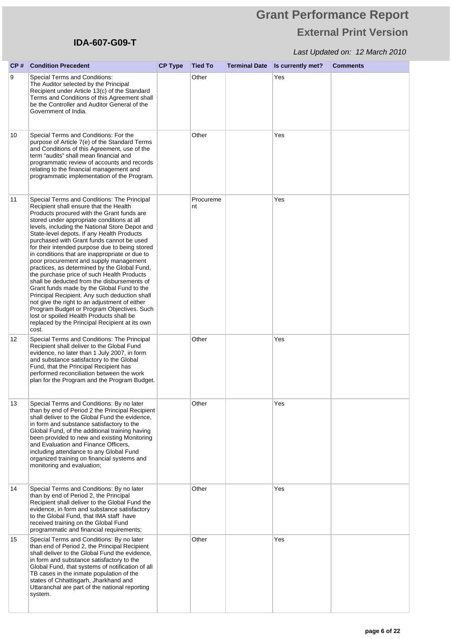# **Grant Performance Report External Print Version**

| CP# | <b>Condition Precedent</b>                                                                                                                                                                                                                                                                                                                                                                                                                                                                                                                                                                                                                                                                                                                                                                                                                                                                                                     | <b>CP Type</b> | <b>Tied To</b>  | <b>Terminal Date</b> | Is currently met? | <b>Comments</b> |
|-----|--------------------------------------------------------------------------------------------------------------------------------------------------------------------------------------------------------------------------------------------------------------------------------------------------------------------------------------------------------------------------------------------------------------------------------------------------------------------------------------------------------------------------------------------------------------------------------------------------------------------------------------------------------------------------------------------------------------------------------------------------------------------------------------------------------------------------------------------------------------------------------------------------------------------------------|----------------|-----------------|----------------------|-------------------|-----------------|
| 9   | Special Terms and Conditions:<br>The Auditor selected by the Principal<br>Recipient under Article 13(c) of the Standard<br>Terms and Conditions of this Agreement shall<br>be the Controller and Auditor General of the<br>Government of India.                                                                                                                                                                                                                                                                                                                                                                                                                                                                                                                                                                                                                                                                                |                | Other           |                      | Yes               |                 |
| 10  | Special Terms and Conditions: For the<br>purpose of Article 7(e) of the Standard Terms<br>and Conditions of this Agreement, use of the<br>term "audits" shall mean financial and<br>programmatic review of accounts and records<br>relating to the financial management and<br>programmatic implementation of the Program.                                                                                                                                                                                                                                                                                                                                                                                                                                                                                                                                                                                                     |                | Other           |                      | Yes               |                 |
| 11  | Special Terms and Conditions: The Principal<br>Recipient shall ensure that the Health<br>Products procured with the Grant funds are<br>stored under appropriate conditions at all<br>levels, including the National Store Depot and<br>State-level depots. If any Health Products<br>purchased with Grant funds cannot be used<br>for their intended purpose due to being stored<br>in conditions that are inappropriate or due to<br>poor procurement and supply management<br>practices, as determined by the Global Fund,<br>the purchase price of such Health Products<br>shall be deducted from the disbursements of<br>Grant funds made by the Global Fund to the<br>Principal Recipient. Any such deduction shall<br>not give the right to an adjustment of either<br>Program Budget or Program Objectives. Such<br>lost or spoiled Health Products shall be<br>replaced by the Principal Recipient at its own<br>cost. |                | Procureme<br>nt |                      | Yes               |                 |
| 12  | Special Terms and Conditions: The Principal<br>Recipient shall deliver to the Global Fund<br>evidence, no later than 1 July 2007, in form<br>and substance satisfactory to the Global<br>Fund, that the Principal Recipient has<br>performed reconciliation between the work<br>plan for the Program and the Program Budget.                                                                                                                                                                                                                                                                                                                                                                                                                                                                                                                                                                                                   |                | Other           |                      | Yes               |                 |
| 13  | Special Terms and Conditions: By no later<br>than by end of Period 2 the Principal Recipient<br>shall deliver to the Global Fund the evidence,<br>in form and substance satisfactory to the<br>Global Fund, of the additional training having<br>been provided to new and existing Monitoring<br>and Evaluation and Finance Officers,<br>including attendance to any Global Fund<br>organized training on financial systems and<br>monitoring and evaluation;                                                                                                                                                                                                                                                                                                                                                                                                                                                                  |                | Other           |                      | Yes               |                 |
| 14  | Special Terms and Conditions: By no later<br>than by end of Period 2, the Principal<br>Recipient shall deliver to the Global Fund the<br>evidence, in form and substance satisfactory<br>to the Global Fund, that IMA staff have<br>received training on the Global Fund<br>programmatic and financial requirements;                                                                                                                                                                                                                                                                                                                                                                                                                                                                                                                                                                                                           |                | Other           |                      | Yes               |                 |
| 15  | Special Terms and Conditions: By no later<br>than end of Period 2, the Principal Recipient<br>shall deliver to the Global Fund the evidence,<br>in form and substance satisfactory to the<br>Global Fund, that systems of notification of all<br>TB cases in the inmate population of the<br>states of Chhattisgarh, Jharkhand and<br>Uttaranchal are part of the national reporting<br>system.                                                                                                                                                                                                                                                                                                                                                                                                                                                                                                                                |                | Other           |                      | Yes               |                 |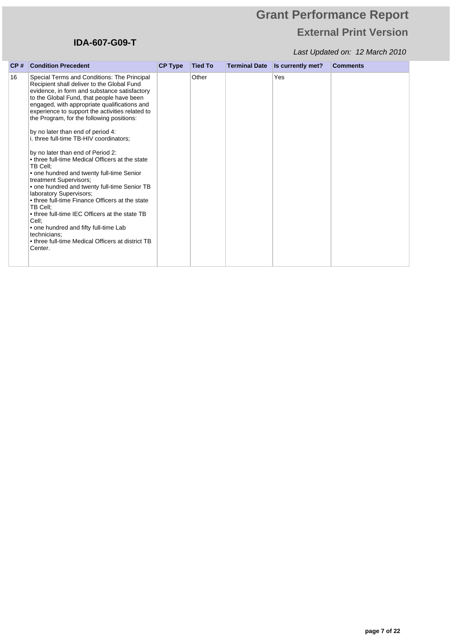# **Grant Performance Report External Print Version**

| CP# | <b>Condition Precedent</b>                                                                                                                                                                                                                                                                                                                                                                                                                                                                                                                                                                                                                                                                                                                                                                                                                                                                                                      | <b>CP Type</b> | <b>Tied To</b> | <b>Terminal Date</b> | Is currently met? | <b>Comments</b> |
|-----|---------------------------------------------------------------------------------------------------------------------------------------------------------------------------------------------------------------------------------------------------------------------------------------------------------------------------------------------------------------------------------------------------------------------------------------------------------------------------------------------------------------------------------------------------------------------------------------------------------------------------------------------------------------------------------------------------------------------------------------------------------------------------------------------------------------------------------------------------------------------------------------------------------------------------------|----------------|----------------|----------------------|-------------------|-----------------|
| 16  | Special Terms and Conditions: The Principal<br>Recipient shall deliver to the Global Fund<br>evidence, in form and substance satisfactory<br>to the Global Fund, that people have been<br>engaged, with appropriate qualifications and<br>experience to support the activities related to<br>the Program, for the following positions:<br>by no later than end of period 4:<br>i. three full-time TB-HIV coordinators;<br>by no later than end of Period 2:<br>• three full-time Medical Officers at the state<br>TB Cell:<br>• one hundred and twenty full-time Senior<br>treatment Supervisors;<br>• one hundred and twenty full-time Senior TB<br>laboratory Supervisors;<br>• three full-time Finance Officers at the state<br>TB Cell;<br>• three full-time IEC Officers at the state TB<br>Cell:<br>• one hundred and fifty full-time Lab<br>technicians;<br>• three full-time Medical Officers at district TB<br>Center. |                | Other          |                      | Yes               |                 |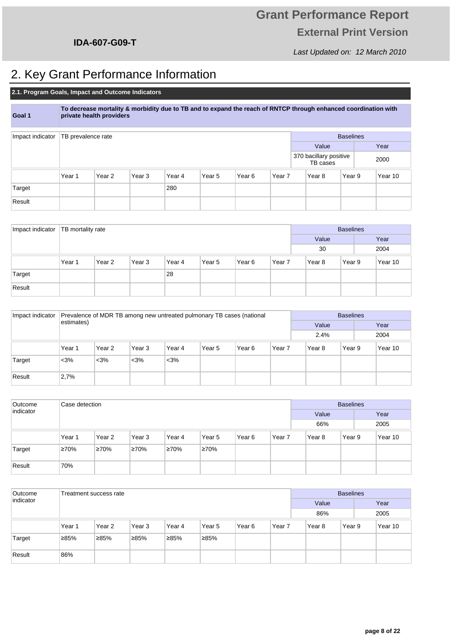Last Updated on: 12 March 2010

## 2. Key Grant Performance Information

| 2.1. Program Goals, Impact and Outcome Indicators |                    |                                                                                                                                             |                   |        |        |                   |        |  |                                    |                  |  |         |
|---------------------------------------------------|--------------------|---------------------------------------------------------------------------------------------------------------------------------------------|-------------------|--------|--------|-------------------|--------|--|------------------------------------|------------------|--|---------|
| Goal 1                                            |                    | To decrease mortality & morbidity due to TB and to expand the reach of RNTCP through enhanced coordination with<br>private health providers |                   |        |        |                   |        |  |                                    |                  |  |         |
| Impact indicator                                  | TB prevalence rate |                                                                                                                                             |                   |        |        |                   |        |  |                                    | <b>Baselines</b> |  |         |
|                                                   | Value<br>Year      |                                                                                                                                             |                   |        |        |                   |        |  |                                    |                  |  |         |
|                                                   |                    |                                                                                                                                             |                   |        |        |                   |        |  | 370 bacillary positive<br>TB cases |                  |  | 2000    |
|                                                   | Year <sub>1</sub>  | Year 2                                                                                                                                      | Year <sub>3</sub> | Year 4 | Year 5 | Year <sub>6</sub> | Year 7 |  | Year 8                             | Year 9           |  | Year 10 |
| Target                                            |                    |                                                                                                                                             |                   | 280    |        |                   |        |  |                                    |                  |  |         |
| Result                                            |                    |                                                                                                                                             |                   |        |        |                   |        |  |                                    |                  |  |         |

| Impact indicator   TB mortality rate |        |        |                   |        |        |        |        | <b>Baselines</b> |        |  |         |  |
|--------------------------------------|--------|--------|-------------------|--------|--------|--------|--------|------------------|--------|--|---------|--|
|                                      |        |        |                   |        |        |        |        | Value            |        |  | Year    |  |
|                                      |        |        |                   |        |        | 30     |        |                  | 2004   |  |         |  |
|                                      | Year 1 | Year 2 | Year <sub>3</sub> | Year 4 | Year 5 | Year 6 | Year 7 | Year 8           | Year 9 |  | Year 10 |  |
| Target                               |        |        |                   | 28     |        |        |        |                  |        |  |         |  |
| Result                               |        |        |                   |        |        |        |        |                  |        |  |         |  |

| Impact indicator |            |              |        |        | Prevalence of MDR TB among new untreated pulmonary TB cases (national |        |        |       |        | <b>Baselines</b> |      |         |  |  |
|------------------|------------|--------------|--------|--------|-----------------------------------------------------------------------|--------|--------|-------|--------|------------------|------|---------|--|--|
|                  | estimates) |              |        |        |                                                                       |        |        | Value |        |                  | Year |         |  |  |
|                  |            | 2.4%<br>2004 |        |        |                                                                       |        |        |       |        |                  |      |         |  |  |
|                  | Year 1     | Year 2       | Year 3 | Year 4 | Year 5                                                                | Year 6 | Year 7 |       | Year 8 | Year 9           |      | Year 10 |  |  |
| Target           | $<$ 3%     | $<$ 3%       | $<$ 3% | $<$ 3% |                                                                       |        |        |       |        |                  |      |         |  |  |
| Result           | 2,7%       |              |        |        |                                                                       |        |        |       |        |                  |      |         |  |  |

| Outcome   | Case detection |        |                   |        | <b>Baselines</b> |        |        |        |        |         |
|-----------|----------------|--------|-------------------|--------|------------------|--------|--------|--------|--------|---------|
| indicator |                |        |                   |        |                  |        |        | Value  |        | Year    |
|           |                |        |                   |        |                  |        |        | 66%    |        | 2005    |
|           | Year 1         | Year 2 | Year <sub>3</sub> | Year 4 | Year 5           | Year 6 | Year 7 | Year 8 | Year 9 | Year 10 |
| Target    | ≥70%           | ≥70%   | ≥70%              | ≥70%   | ≥70%             |        |        |        |        |         |
| Result    | 70%            |        |                   |        |                  |        |        |        |        |         |

| Outcome   | Treatment success rate |        |        |             | <b>Baselines</b> |        |                   |        |        |         |  |
|-----------|------------------------|--------|--------|-------------|------------------|--------|-------------------|--------|--------|---------|--|
| indicator |                        |        |        |             |                  |        | Value             |        |        | Year    |  |
|           |                        |        |        | 86%<br>2005 |                  |        |                   |        |        |         |  |
|           | Year <sub>1</sub>      | Year 2 | Year 3 | Year 4      | Year 5           | Year 6 | Year <sub>7</sub> | Year 8 | Year 9 | Year 10 |  |
| Target    | ≥85%                   | ≥85%   | ≥85%   | ≥85%        | ≥85%             |        |                   |        |        |         |  |
| Result    | 86%                    |        |        |             |                  |        |                   |        |        |         |  |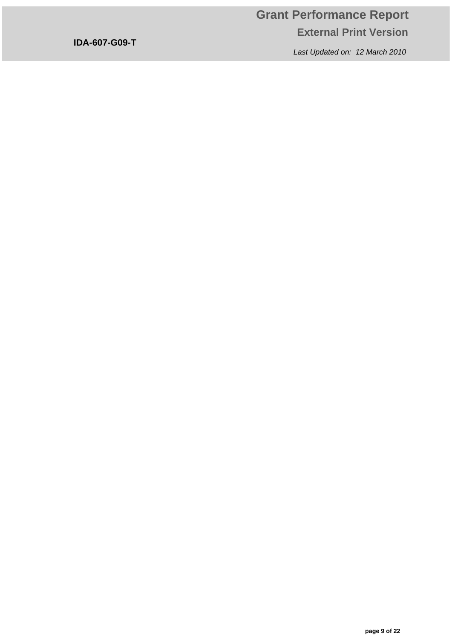# **Grant Performance Report External Print Version**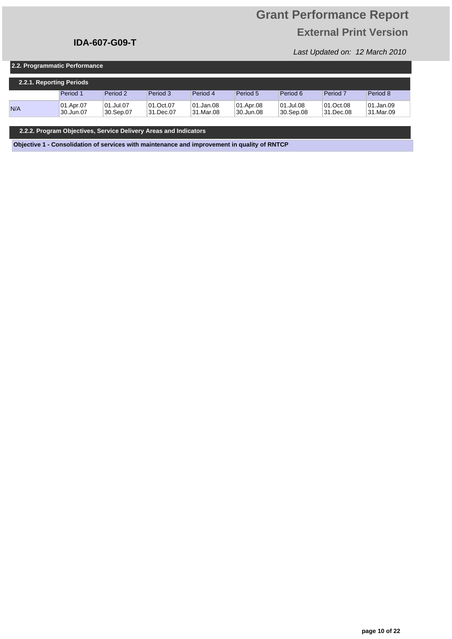## **Grant Performance Report External Print Version**

Last Updated on: 12 March 2010

**2.2. Programmatic Performance**

| 2.2.1. Reporting Periods |                        |                        |                        |                         |                        |                        |                        |                        |  |  |  |  |  |
|--------------------------|------------------------|------------------------|------------------------|-------------------------|------------------------|------------------------|------------------------|------------------------|--|--|--|--|--|
|                          | Period 1               | Period 2               | Period 3               | Period 4                | Period 5               | Period 6               | Period <sub>7</sub>    | Period 8               |  |  |  |  |  |
| N/A                      | 01.Apr.07<br>30.Jun.07 | 01.Jul.07<br>30.Sep.07 | 01.Oct.07<br>31.Dec.07 | ∣01.Jan.08<br>31.Mar.08 | 01.Apr.08<br>30.Jun.08 | 01.Jul.08<br>30.Sep.08 | 01.Oct.08<br>31.Dec.08 | 01.Jan.09<br>31.Mar.09 |  |  |  |  |  |

 **2.2.2. Program Objectives, Service Delivery Areas and Indicators**

**Objective 1 - Consolidation of services with maintenance and improvement in quality of RNTCP**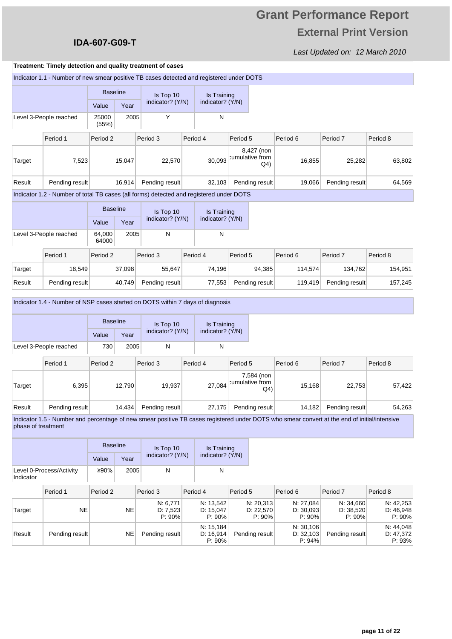### **IDA-607-G09-T**

Last Updated on: 12 March 2010

|        | Indicator 1.1 - Number of new smear positive TB cases detected and registered under DOTS |                 |        |                  |                    |                                                |          |                           |          |  |  |
|--------|------------------------------------------------------------------------------------------|-----------------|--------|------------------|--------------------|------------------------------------------------|----------|---------------------------|----------|--|--|
|        |                                                                                          | <b>Baseline</b> |        | Is Top 10        | Is Training        |                                                |          |                           |          |  |  |
|        |                                                                                          | Value           | Year   | indicator? (Y/N) | indicator? (Y/N)   |                                                |          |                           |          |  |  |
|        | Level 3-People reached                                                                   | 25000<br>(55%)  | 2005   | Υ                | ${\sf N}$          |                                                |          |                           |          |  |  |
|        | Period 1                                                                                 | Period 2        |        | Period 3         | Period 4           | Period 5                                       | Period 6 | Period <sub>7</sub>       | Period 8 |  |  |
| Target | 7,523                                                                                    |                 | 15,047 | 22,570           |                    | 8,427 (non<br>cumulative from<br>30,093<br>Q4) |          | 16,855<br>25,282          | 63,802   |  |  |
| Result | Pending result                                                                           |                 | 16,914 | Pending result   | 32,103             | Pending result                                 | 19,066   | Pending result            | 64,569   |  |  |
|        | Indicator 1.2 - Number of total TB cases (all forms) detected and registered under DOTS  |                 |        |                  |                    |                                                |          |                           |          |  |  |
|        |                                                                                          | <b>Baseline</b> |        | Is Top 10        | <b>Is Training</b> |                                                |          |                           |          |  |  |
|        |                                                                                          | Value           | Year   | indicator? (Y/N) | indicator? (Y/N)   |                                                |          |                           |          |  |  |
|        | Level 3-People reached                                                                   | 64,000<br>64000 | 2005   | N                | N                  |                                                |          |                           |          |  |  |
|        | Period 1                                                                                 | Period 2        |        | Period 3         | Period 4           | Period 5                                       | Period 6 | Period <sub>7</sub>       | Period 8 |  |  |
| Target | 18,549                                                                                   |                 | 37,098 | 55,647           | 74,196             | 94,385                                         | 114,574  | 134,762                   | 154,951  |  |  |
| Result | Pending result                                                                           |                 | 40,749 | Pending result   |                    | 77,553<br>Pending result                       |          | 119,419<br>Pending result | 157,245  |  |  |
|        |                                                                                          |                 |        |                  |                    |                                                |          |                           |          |  |  |

#### Indicator 1.4 - Number of NSP cases started on DOTS within 7 days of diagnosis

|                        | <b>Baseline</b> |      | Is Top 10        | Is Training<br>indicator? (Y/N) |  |
|------------------------|-----------------|------|------------------|---------------------------------|--|
|                        | Value           | Year | indicator? (Y/N) |                                 |  |
| Level 3-People reached | 730             | 2005 |                  | N                               |  |

|        | Period 1       | Period 2 | Period 3       | Period 4 | Period 5                                        | Period 6 | Period 7       | Period 8 |
|--------|----------------|----------|----------------|----------|-------------------------------------------------|----------|----------------|----------|
| Target | 6,395          | 12,790   | 19,937         | 27,084   | 7,584 (non<br>$\vert$ : umulative from<br>$Q_4$ | 15,168   | 22,753         | 57,422   |
| Result | Pending result | 14,434   | Pending result | 27,175   | Pending result                                  | 14,182   | Pending result | 54,263   |

Indicator 1.5 - Number and percentage of new smear positive TB cases registered under DOTS who smear convert at the end of initial/intensive phase of treatment

|                                       | <b>Baseline</b> |      | Is Top 10        | Is Training<br>indicator? (Y/N) |  |
|---------------------------------------|-----------------|------|------------------|---------------------------------|--|
|                                       | Value           | Year | indicator? (Y/N) |                                 |  |
| Level 0-Process/Activity<br>Indicator | $>90\%$         | 2005 |                  |                                 |  |

|        | Period 1       | Period 2  | Period 3                          | Period 4                            | Period 5                            | Period 6                            | Period 7                            | Period 8                            |
|--------|----------------|-----------|-----------------------------------|-------------------------------------|-------------------------------------|-------------------------------------|-------------------------------------|-------------------------------------|
| Target | <b>NE</b>      | <b>NE</b> | N: 6.771<br>D: 7,523<br>$P: 90\%$ | N: 13.542<br>D: 15.047<br>$P: 90\%$ | N: 20,313<br>D: 22.570<br>$P: 90\%$ | N: 27.084<br>D: 30,093<br>$P: 90\%$ | N: 34.660<br>D: 38.520<br>$P: 90\%$ | N: 42.253<br>D: 46,948<br>$P: 90\%$ |
| Result | Pending result | NE        | Pending result                    | N: 15.184<br>D: 16.914<br>$P: 90\%$ | Pending result                      | N: 30,106<br>D: 32,103<br>$P: 94\%$ | Pending result                      | N: 44,048<br>D: 47,372<br>P: 93%    |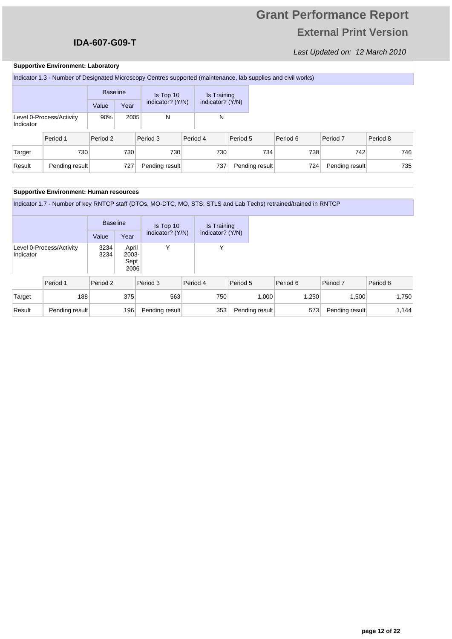# **Grant Performance Report External Print Version**

Last Updated on: 12 March 2010

#### **Supportive Environment: Laboratory**

|           | Indicator 1.3 - Number of Designated Microscopy Centres supported (maintenance, lab supplies and civil works) |                 |      |                |                                                     |          |          |                |          |                     |          |     |
|-----------|---------------------------------------------------------------------------------------------------------------|-----------------|------|----------------|-----------------------------------------------------|----------|----------|----------------|----------|---------------------|----------|-----|
|           |                                                                                                               | <b>Baseline</b> |      | Is Top 10      | Is Training<br>indicator? (Y/N)<br>indicator? (Y/N) |          |          |                |          |                     |          |     |
|           |                                                                                                               | Value           | Year |                |                                                     |          |          |                |          |                     |          |     |
| Indicator | Level 0-Process/Activity                                                                                      | 90%             | 2005 | N              |                                                     | N        |          |                |          |                     |          |     |
|           | Period 1                                                                                                      | Period 2        |      | Period 3       |                                                     | Period 4 | Period 5 |                | Period 6 | Period <sub>7</sub> | Period 8 |     |
| Target    | 730                                                                                                           |                 | 730  | 730            |                                                     | 730      |          | 734            | 738      | 742                 |          | 746 |
| Result    | Pending result                                                                                                |                 | 727  | Pending result |                                                     | 737      |          | Pending result | 724      | Pending result      |          | 735 |

#### **Supportive Environment: Human resources**

Indicator 1.7 - Number of key RNTCP staff (DTOs, MO-DTC, MO, STS, STLS and Lab Techs) retrained/trained in RNTCP

|                                       | <b>Baseline</b> |                                | Is Top 10        | Is Training      |  |
|---------------------------------------|-----------------|--------------------------------|------------------|------------------|--|
|                                       | Value<br>Year   |                                | indicator? (Y/N) | indicator? (Y/N) |  |
| Level 0-Process/Activity<br>Indicator | 3234<br>3234    | April<br>2003-<br>Sept<br>2006 |                  |                  |  |

|        | Period 1       | Period 2 | Period 3       | Period 4         | Period 5       | Period 6 | Period <sub>7</sub> | Period 8 |
|--------|----------------|----------|----------------|------------------|----------------|----------|---------------------|----------|
| Target | 188            | 375      | 563            | 750 <sub>1</sub> | .000           | ,250     | 1,500               | 1,750    |
| Result | Pending result | 196      | Pending result | 353              | Pending result | 573      | Pending result      | .144     |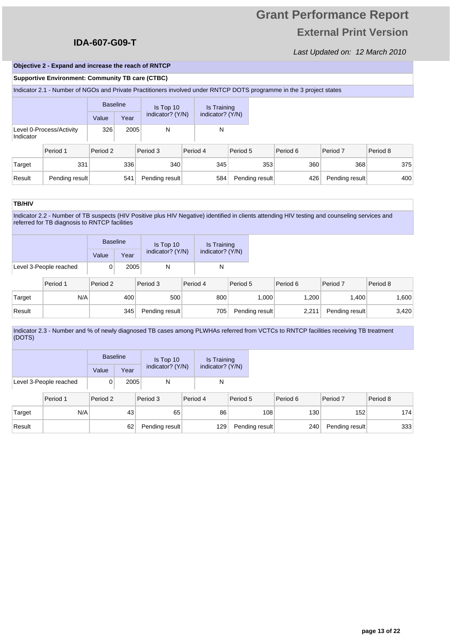project states

### **IDA-607-G09-T**

### Last Updated on: 12 March 2010

#### **Objective 2 - Expand and increase the reach of RNTCP**

#### **Supportive Environment: Community TB care (CTBC)**

|  |           |                          |                 |      | Indicator 2.1 - Number of NGOs and Private Practitioners involved under RNTCP DOTS programme in the 3 |  |                  |          |          |
|--|-----------|--------------------------|-----------------|------|-------------------------------------------------------------------------------------------------------|--|------------------|----------|----------|
|  |           |                          | <b>Baseline</b> |      | Is Top 10                                                                                             |  | Is Training      |          |          |
|  |           |                          | Value           | Year | indicator? (Y/N)                                                                                      |  | indicator? (Y/N) |          |          |
|  | Indicator | Level 0-Process/Activity | 326             | 2005 | N                                                                                                     |  | N                |          |          |
|  |           | Period 1                 | Period 2        |      | Period 3                                                                                              |  | Period 4         | Period 5 | Period 6 |
|  |           |                          |                 |      |                                                                                                       |  |                  |          |          |

|        | Period 1       | Period 2 | Period 3       | Period 4 | Period 5       | Period 6 | Period <sub>7</sub> | Period 8        |
|--------|----------------|----------|----------------|----------|----------------|----------|---------------------|-----------------|
| Target | 331            | 336      | 340            | 345      | 353            | 360      | 368                 | 375             |
| Result | Pending result | 541      | Pending result | 584      | Pending result | 426      | Pending result      | 40 <sub>C</sub> |

#### **TB/HIV**

Indicator 2.2 - Number of TB suspects (HIV Positive plus HIV Negative) identified in clients attending HIV testing and counseling services and referred for TB diagnosis to RNTCP facilities

|                        | <b>Baseline</b> |      | Is Top 10        | Is Training<br>indicator? (Y/N) |  |
|------------------------|-----------------|------|------------------|---------------------------------|--|
|                        | Value           | Year | indicator? (Y/N) |                                 |  |
| Level 3-People reached |                 | 2005 |                  | N                               |  |

|        | Period 1 | Period 2 | Period 3       | Period 4 | Period 5       | Period 6 | Period <sub>7</sub> | Period 8 |
|--------|----------|----------|----------------|----------|----------------|----------|---------------------|----------|
| Target | N/A      | 400      | 500            | 800      | .000           | .200     | ∛400.،              | 000      |
| Result |          | 345      | Pending result | 705      | Pending result | 2.211    | Pending result      | 3,420    |

Indicator 2.3 - Number and % of newly diagnosed TB cases among PLWHAs referred from VCTCs to RNTCP facilities receiving TB treatment (DOTS)

|                        | <b>Baseline</b> |          |  | Is Top 10        | Is Training      |          |          |          |  |
|------------------------|-----------------|----------|--|------------------|------------------|----------|----------|----------|--|
| Value                  |                 | Year     |  | indicator? (Y/N) | indicator? (Y/N) |          |          |          |  |
| Level 3-People reached |                 | 2005     |  | N                | N                |          |          |          |  |
| Period 1<br>Period 2   |                 | Period 3 |  | Period 4         | Period 5         | Period 6 | Period 7 | Period 8 |  |

|        | . טווטיו | .  | . טוויט        | . טווטו | . טווט ט       | . טוויט | .              | . טוועו |
|--------|----------|----|----------------|---------|----------------|---------|----------------|---------|
| Target | N/A      | 43 | 65             | 86      | 108            | 130     | 152            | 174     |
| Result |          | 62 | Pending result | 129     | Pending result | 240     | Pending result | 333     |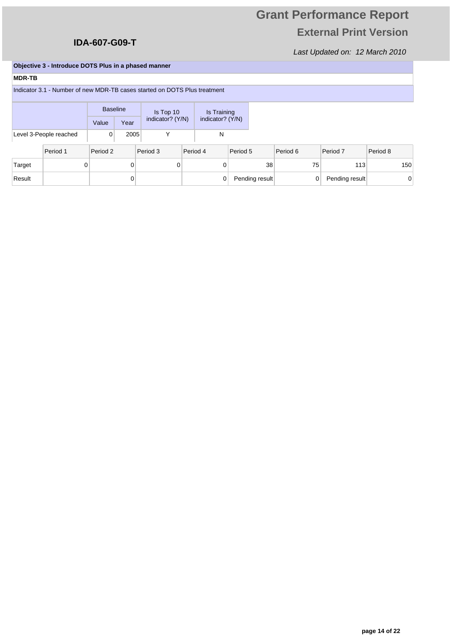### **IDA-607-G09-T**

Last Updated on: 12 March 2010

#### **Objective 3 - Introduce DOTS Plus in a phased manner**

| <b>MDR-TB</b> |                                                                           |                 |      |                  |   |          |             |                  |                |                |          |     |
|---------------|---------------------------------------------------------------------------|-----------------|------|------------------|---|----------|-------------|------------------|----------------|----------------|----------|-----|
|               | Indicator 3.1 - Number of new MDR-TB cases started on DOTS Plus treatment |                 |      |                  |   |          |             |                  |                |                |          |     |
|               |                                                                           | <b>Baseline</b> |      | Is Top 10        |   |          | Is Training |                  |                |                |          |     |
|               |                                                                           | Value           | Year | indicator? (Y/N) |   |          |             | indicator? (Y/N) |                |                |          |     |
|               | Level 3-People reached                                                    | 0               | 2005 |                  | ٧ |          | N           |                  |                |                |          |     |
|               | Period 1                                                                  | Period 2        |      | Period 3         |   | Period 4 |             | Period 5         | Period 6       | Period 7       | Period 8 |     |
| Target        | 0                                                                         |                 | 0    |                  | 0 |          | 0           | 38               | 75             | 113            |          | 150 |
| Result        |                                                                           |                 | 0    |                  |   |          | 0           | Pending result   | $\overline{0}$ | Pending result |          | 0   |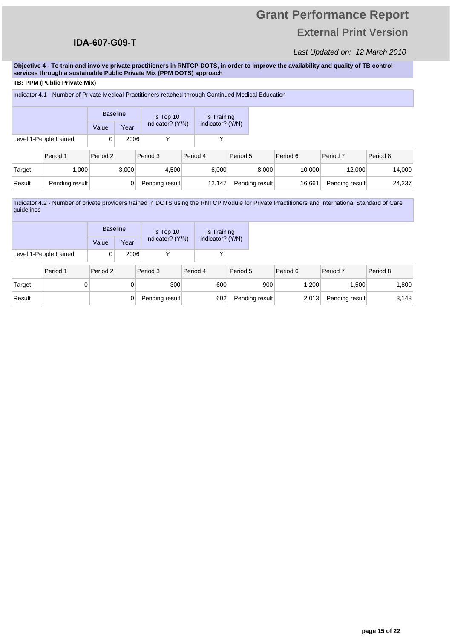## **IDA-607-G09-T**

### Last Updated on: 12 March 2010

**Objective 4 - To train and involve private practitioners in RNTCP-DOTS, in order to improve the availability and quality of TB control services through a sustainable Public Private Mix (PPM DOTS) approach**

#### **TB: PPM (Public Private Mix)**

#### Indicator 4.1 - Number of Private Medical Practitioners reached through Continued Medical Education

|                        |                | <b>Baseline</b> |                |  | Is Top 10        |                  | Is Training |          |                |          |                     |          |        |
|------------------------|----------------|-----------------|----------------|--|------------------|------------------|-------------|----------|----------------|----------|---------------------|----------|--------|
|                        |                | Value           | Year           |  | indicator? (Y/N) | indicator? (Y/N) |             |          |                |          |                     |          |        |
| Level 1-People trained |                | 0               | 2006           |  | ν                |                  |             |          |                |          |                     |          |        |
|                        | Period 1       | Period 2        |                |  | Period 3         |                  | Period 4    | Period 5 |                | Period 6 | Period <sub>7</sub> | Period 8 |        |
| Target                 | 1,000          |                 | 3.000          |  | 4.500            |                  | 6.000       |          | 8,000          | 10,000   | 12.000              |          | 14,000 |
| Result                 | Pending result |                 | $\overline{0}$ |  | Pending result   |                  | 12.147      |          | Pending result | 16,661   | Pending result      |          | 24,237 |

Indicator 4.2 - Number of private providers trained in DOTS using the RNTCP Module for Private Practitioners and International Standard of Care guidelines

|                        |       | <b>Baseline</b> | Is Top 10        | Is Training      |
|------------------------|-------|-----------------|------------------|------------------|
|                        | Value | Year            | indicator? (Y/N) | indicator? (Y/N) |
| Level 1-People trained |       | 2006            |                  |                  |

|        | Period 1 | Period 2 | Period 3       | Period 4 | Period 5       | Period 6 | Period <sub>7</sub> | Period 8 |
|--------|----------|----------|----------------|----------|----------------|----------|---------------------|----------|
| Target |          | ັ        | 300            | 600      | 900            | .200     | 1,500               | .800     |
| Result |          |          | Pending result | 602      | Pending result | 2,013    | Pending result      | 3,148    |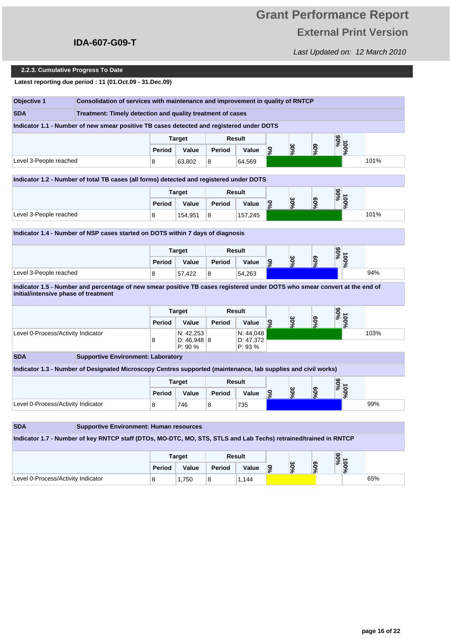## **Grant Performance Report External Print Version**

Last Updated on: 12 March 2010

#### **2.2.3. Cumulative Progress To Date**

**Latest reporting due period : 11 (01.Oct.09 - 31.Dec.09)**

| <b>Objective 1</b>                                                                                                 | Consolidation of services with maintenance and improvement in quality of RNTCP                                             |        |                         |               |                      |     |     |        |     |      |      |
|--------------------------------------------------------------------------------------------------------------------|----------------------------------------------------------------------------------------------------------------------------|--------|-------------------------|---------------|----------------------|-----|-----|--------|-----|------|------|
| <b>SDA</b>                                                                                                         | Treatment: Timely detection and quality treatment of cases                                                                 |        |                         |               |                      |     |     |        |     |      |      |
|                                                                                                                    | Indicator 1.1 - Number of new smear positive TB cases detected and registered under DOTS                                   |        |                         |               |                      |     |     |        |     |      |      |
|                                                                                                                    |                                                                                                                            |        | <b>Target</b>           |               | <b>Result</b>        |     |     |        | %06 |      |      |
|                                                                                                                    |                                                                                                                            | Period | Value                   | Period        | Value                | 0%  | 30% | $60\%$ |     | 100% |      |
| Level 3-People reached                                                                                             |                                                                                                                            | 8      | 63,802                  | 8             | 64,569               |     |     |        |     |      | 101% |
|                                                                                                                    |                                                                                                                            |        |                         |               |                      |     |     |        |     |      |      |
|                                                                                                                    | Indicator 1.2 - Number of total TB cases (all forms) detected and registered under DOTS                                    |        |                         |               |                      |     |     |        |     |      |      |
|                                                                                                                    |                                                                                                                            |        | <b>Target</b>           |               | <b>Result</b>        |     |     |        | %06 |      |      |
|                                                                                                                    |                                                                                                                            | Period | Value                   | Period        | Value                | ్షి | 30% | $60\%$ |     | 100% |      |
| Level 3-People reached                                                                                             |                                                                                                                            | 8      | 154,951                 | 8             | 157,245              |     |     |        |     |      | 101% |
|                                                                                                                    | Indicator 1.4 - Number of NSP cases started on DOTS within 7 days of diagnosis                                             |        |                         |               |                      |     |     |        |     |      |      |
|                                                                                                                    |                                                                                                                            |        |                         |               |                      |     |     |        |     |      |      |
|                                                                                                                    |                                                                                                                            |        | <b>Target</b>           |               | <b>Result</b>        |     |     |        | %56 |      |      |
|                                                                                                                    |                                                                                                                            |        |                         |               |                      |     |     |        |     |      |      |
|                                                                                                                    |                                                                                                                            | Period | Value                   | <b>Period</b> | Value                |     | 30% | 60%    |     |      |      |
|                                                                                                                    |                                                                                                                            | 8      | 57,422                  | 8             | 54,263               | 9%  |     |        |     | 100% | 94%  |
|                                                                                                                    | Indicator 1.5 - Number and percentage of new smear positive TB cases registered under DOTS who smear convert at the end of |        | <b>Target</b>           |               | <b>Result</b>        |     |     |        |     |      |      |
|                                                                                                                    |                                                                                                                            | Period | Value                   | <b>Period</b> | Value                |     |     |        | %06 |      |      |
|                                                                                                                    |                                                                                                                            |        | N: 42,253               |               | N: 44,048            | %   | 30% | %50    |     | 100% | 103% |
|                                                                                                                    |                                                                                                                            | 8      | D: $46,948$ 8<br>P: 90% |               | D: 47,372<br>P: 93 % |     |     |        |     |      |      |
|                                                                                                                    | <b>Supportive Environment: Laboratory</b>                                                                                  |        |                         |               |                      |     |     |        |     |      |      |
|                                                                                                                    |                                                                                                                            |        |                         |               |                      |     |     |        |     |      |      |
|                                                                                                                    | Indicator 1.3 - Number of Designated Microscopy Centres supported (maintenance, lab supplies and civil works)              |        |                         |               |                      |     |     |        |     |      |      |
| Level 3-People reached<br>initial/intensive phase of treatment<br>Level 0-Process/Activity Indicator<br><b>SDA</b> |                                                                                                                            |        | <b>Target</b>           |               | <b>Result</b>        |     |     |        | %06 |      |      |
|                                                                                                                    |                                                                                                                            | Period | Value                   | Period        | Value                | ్య  | 30% | $60\%$ |     | 100% | 99%  |
| Level 0-Process/Activity Indicator                                                                                 |                                                                                                                            | 8      | 746                     | 8             | 735                  |     |     |        |     |      |      |
|                                                                                                                    |                                                                                                                            |        |                         |               |                      |     |     |        |     |      |      |
|                                                                                                                    | <b>Supportive Environment: Human resources</b>                                                                             |        |                         |               |                      |     |     |        |     |      |      |
|                                                                                                                    | Indicator 1.7 - Number of key RNTCP staff (DTOs, MO-DTC, MO, STS, STLS and Lab Techs) retrained/trained in RNTCP           |        |                         |               |                      |     |     |        |     |      |      |
| <b>SDA</b>                                                                                                         |                                                                                                                            |        | <b>Target</b>           |               | <b>Result</b>        |     | 30% | %09    | %56 | 100% |      |

Level 0-Process/Activity Indicator 8 1,750 8 1,144 65%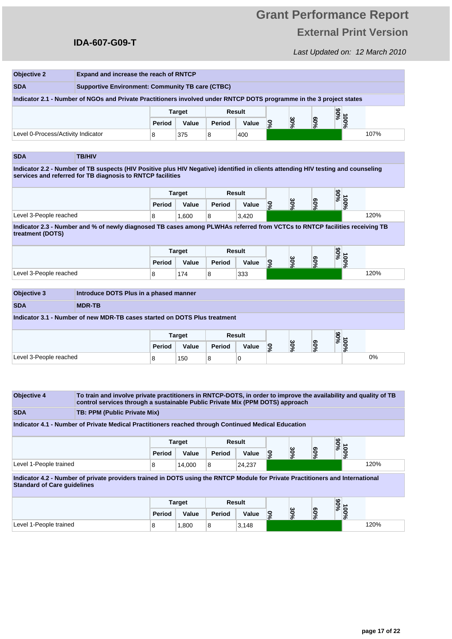### **IDA-607-G09-T**

|                                    |                                                                                                                                                                                                 | Expand and increase the reach of RNTCP |               |        |               |                 |     |           |         |      |
|------------------------------------|-------------------------------------------------------------------------------------------------------------------------------------------------------------------------------------------------|----------------------------------------|---------------|--------|---------------|-----------------|-----|-----------|---------|------|
| <b>SDA</b>                         | <b>Supportive Environment: Community TB care (CTBC)</b>                                                                                                                                         |                                        |               |        |               |                 |     |           |         |      |
|                                    | Indicator 2.1 - Number of NGOs and Private Practitioners involved under RNTCP DOTS programme in the 3 project states                                                                            |                                        |               |        |               |                 |     |           |         |      |
|                                    |                                                                                                                                                                                                 |                                        | <b>Target</b> |        | <b>Result</b> |                 |     |           | %56     |      |
|                                    |                                                                                                                                                                                                 | Period                                 | Value         | Period | Value         | 6%              | 30% | $60\%$    | $-0006$ |      |
| Level 0-Process/Activity Indicator |                                                                                                                                                                                                 | 8                                      | 375           | 8      | 400           |                 |     |           |         | 107% |
|                                    |                                                                                                                                                                                                 |                                        |               |        |               |                 |     |           |         |      |
| <b>SDA</b>                         | <b>TB/HIV</b>                                                                                                                                                                                   |                                        |               |        |               |                 |     |           |         |      |
|                                    | Indicator 2.2 - Number of TB suspects (HIV Positive plus HIV Negative) identified in clients attending HIV testing and counseling<br>services and referred for TB diagnosis to RNTCP facilities |                                        |               |        |               |                 |     |           |         |      |
|                                    |                                                                                                                                                                                                 |                                        | <b>Target</b> |        | Result        |                 |     |           | %06     |      |
|                                    |                                                                                                                                                                                                 | Period                                 | Value         | Period | Value         | <b>S</b>        | 30% | $^{9609}$ | 100%    |      |
| Level 3-People reached             |                                                                                                                                                                                                 | 8                                      | 1,600         | 8      | 3,420         |                 |     |           |         | 120% |
|                                    |                                                                                                                                                                                                 |                                        | <b>Target</b> |        | <b>Result</b> |                 |     |           | %56     |      |
|                                    |                                                                                                                                                                                                 | Period                                 | Value         | Period | Value         | $\mathcal{S}^0$ | 30% | $60\%$    | 100%    |      |
| Level 3-People reached             |                                                                                                                                                                                                 | 8                                      | 174           | 8      | 333           |                 |     |           |         | 120% |
|                                    |                                                                                                                                                                                                 |                                        |               |        |               |                 |     |           |         |      |
| <b>Objective 3</b>                 | Introduce DOTS Plus in a phased manner                                                                                                                                                          |                                        |               |        |               |                 |     |           |         |      |
| <b>SDA</b>                         | <b>MDR-TB</b>                                                                                                                                                                                   |                                        |               |        |               |                 |     |           |         |      |
|                                    | Indicator 3.1 - Number of new MDR-TB cases started on DOTS Plus treatment                                                                                                                       |                                        |               |        |               |                 |     |           |         |      |
|                                    |                                                                                                                                                                                                 |                                        | <b>Target</b> |        | Result        |                 |     |           | %56     |      |
|                                    |                                                                                                                                                                                                 |                                        |               |        |               |                 |     |           |         |      |
|                                    |                                                                                                                                                                                                 | Period                                 | Value         | Period | Value         | %               | 30% | $60\%$    | %5001   |      |

**Indicator 4.2 - Number of private providers trained in DOTS using the RNTCP Module for Private Practitioners and International Standard of Care guidelines**

|                        | <b>Target</b> |       | <b>Result</b>         |       |          |                     |                       | ဖ<br>0      |      |
|------------------------|---------------|-------|-----------------------|-------|----------|---------------------|-----------------------|-------------|------|
|                        | Period        | Value | <b>Period</b>         | Value | ဒ္ဓ<br>െ | ພ<br>с<br>$\bullet$ | ໑<br>o<br>$\sim$<br>െ | 8<br>₷<br>െ |      |
| Level 1-People trained | 1,800         |       | 3,148<br>ິ<br>$\circ$ |       |          |                     |                       |             | 120% |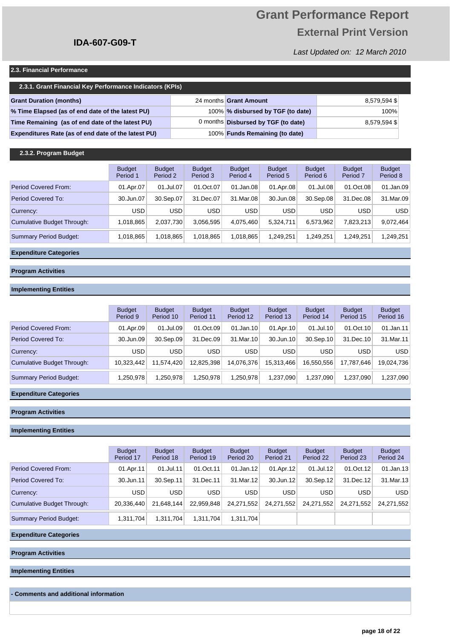## **Grant Performance Report External Print Version**

Last Updated on: 12 March 2010

#### **2.3. Financial Performance**

| 2.3.1. Grant Financial Key Performance Indicators (KPIs) |  |                                            |              |  |  |  |  |  |  |  |
|----------------------------------------------------------|--|--------------------------------------------|--------------|--|--|--|--|--|--|--|
|                                                          |  |                                            |              |  |  |  |  |  |  |  |
| <b>Grant Duration (months)</b>                           |  | 24 months Grant Amount                     | 8,579,594 \$ |  |  |  |  |  |  |  |
| % Time Elapsed (as of end date of the latest PU)         |  | 100% % disbursed by TGF (to date)          | 100%         |  |  |  |  |  |  |  |
| Time Remaining (as of end date of the latest PU)         |  | 0 months <b>Disbursed by TGF (to date)</b> | 8,579,594 \$ |  |  |  |  |  |  |  |
| Expenditures Rate (as of end date of the latest PU)      |  | 100% Funds Remaining (to date)             |              |  |  |  |  |  |  |  |

#### **2.3.2. Program Budget**

|                             | <b>Budget</b><br>Period 1 | <b>Budget</b><br>Period 2 | <b>Budget</b><br>Period 3 | <b>Budget</b><br>Period 4 | <b>Budget</b><br>Period 5 | <b>Budget</b><br>Period 6 | <b>Budget</b><br>Period <sub>7</sub> | <b>Budget</b><br>Period 8 |
|-----------------------------|---------------------------|---------------------------|---------------------------|---------------------------|---------------------------|---------------------------|--------------------------------------|---------------------------|
| <b>Period Covered From:</b> | 01.Apr.07                 | 01.Jul.07                 | 01.Oct.07                 | 01.Jan.08                 | 01.Apr.08                 | 01.Jul.08                 | 01.Oct.08                            | 01.Jan.09                 |
| Period Covered To:          | 30.Jun.07                 | 30.Sep.07                 | 31.Dec.07                 | 31.Mar.08                 | 30.Jun.08                 | 30.Sep.08                 | 31.Dec.08                            | 31.Mar.09                 |
| Currency:                   | <b>USD</b>                | <b>USD</b>                | <b>USD</b>                | <b>USD</b>                | <b>USD</b>                | <b>USD</b>                | USD                                  | <b>USD</b>                |
| Cumulative Budget Through:  | 1.018.865                 | 2,037,730                 | 3,056,595                 | 4,075,460                 | 5.324.711                 | 6.573.962                 | 7.823.213                            | 9,072,464                 |
| Summary Period Budget:      | 1,018,865                 | 1.018.865                 | 1,018,865                 | 1.018.865                 | 1,249,251                 | 1.249.251                 | 1.249.251                            | 1,249,251                 |

#### **Expenditure Categories**

### **Program Activities**

#### **Implementing Entities**

|                            | <b>Budget</b><br>Period 9 | <b>Budget</b><br>Period 10 | <b>Budget</b><br>Period 11 | <b>Budget</b><br>Period 12 | <b>Budget</b><br>Period 13 | <b>Budget</b><br>Period 14 | <b>Budget</b><br>Period 15 | <b>Budget</b><br>Period 16 |
|----------------------------|---------------------------|----------------------------|----------------------------|----------------------------|----------------------------|----------------------------|----------------------------|----------------------------|
| Period Covered From:       | 01.Apr.09                 | 01.Jul.09                  | 01.Oct.09                  | 01.Jan.10                  | 01.Apr.10                  | $01$ .Jul.10               | 01.0ct.10                  | 01.Jan.11                  |
| Period Covered To:         | 30.Jun.09                 | 30.Sep.09                  | 31.Dec.09                  | 31.Mar.10                  | 30.Jun.10                  | 30.Sep.10                  | 31.Dec.10                  | 31.Mar.11                  |
| Currency:                  | <b>USD</b>                | <b>USD</b>                 | <b>USD</b>                 | <b>USD</b>                 | <b>USD</b>                 | <b>USD</b>                 | USD                        | <b>USD</b>                 |
| Cumulative Budget Through: | 10,323,442                | 11.574.420                 | 12.825.398                 | 14,076,376                 | 15.313.466                 | 16,550,556                 | 17.787.646                 | 19,024,736                 |
| Summary Period Budget:     | 1,250,978                 | 1,250,978                  | 1,250,978                  | 1,250,978                  | 1,237,090                  | 1.237.090                  | 1.237.090                  | 1,237,090                  |

### **Expenditure Categories**

#### **Program Activities**

#### **Implementing Entities**

|                            | <b>Budget</b><br>Period 17 | <b>Budget</b><br>Period 18 | <b>Budget</b><br>Period 19 | <b>Budget</b><br>Period 20 | <b>Budget</b><br>Period 21 | <b>Budget</b><br>Period 22 | <b>Budget</b><br>Period 23 | <b>Budget</b><br>Period 24 |
|----------------------------|----------------------------|----------------------------|----------------------------|----------------------------|----------------------------|----------------------------|----------------------------|----------------------------|
| Period Covered From:       | 01.Apr.11                  | 01.Jul.11                  | 01.Oct.11                  | 01.Jan.12                  | 01.Apr.12                  | 01.Jul.12                  | 01.Oct.12                  | 01.Jan.13                  |
| Period Covered To:         | 30.Jun.11                  | 30.Sep.11                  | 31.Dec.11                  | 31.Mar.12                  | 30.Jun.12                  | 30.Sep.12                  | 31.Dec.12                  | 31.Mar.13                  |
| Currency:                  | <b>USD</b>                 | <b>USD</b>                 | <b>USD</b>                 | <b>USD</b>                 | <b>USD</b>                 | <b>USD</b>                 | <b>USD</b>                 | USD.                       |
| Cumulative Budget Through: | 20,336,440                 | 21.648.144                 | 22,959,848                 | 24,271,552                 | 24,271,552                 | 24.271.552                 | 24.271.552                 | 24.271.552                 |
| Summary Period Budget:     | 1,311,704                  | 1,311,704                  | 1,311,704                  | 1,311,704                  |                            |                            |                            |                            |

#### **Expenditure Categories**

**Program Activities**

**Implementing Entities**

**- Comments and additional information**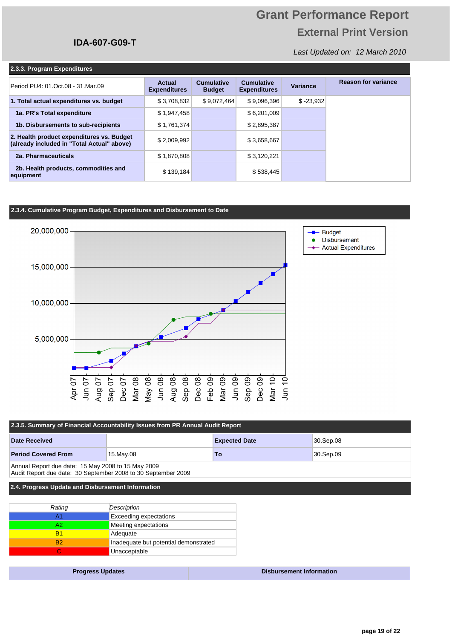## **Grant Performance Report External Print Version**

Last Updated on: 12 March 2010

| 2.3.3. Program Expenditures                                                             |                               |                                    |                                   |             |                            |
|-----------------------------------------------------------------------------------------|-------------------------------|------------------------------------|-----------------------------------|-------------|----------------------------|
| Period PU4: 01. Oct. 08 - 31. Mar. 09                                                   | Actual<br><b>Expenditures</b> | <b>Cumulative</b><br><b>Budget</b> | Cumulative<br><b>Expenditures</b> | Variance    | <b>Reason for variance</b> |
| 1. Total actual expenditures vs. budget                                                 | \$3,708,832                   | \$9.072.464                        | \$9.096.396                       | $$ -23.932$ |                            |
| 1a. PR's Total expenditure                                                              | \$1,947,458                   |                                    | \$6,201,009                       |             |                            |
| 1b. Disbursements to sub-recipients                                                     | \$1,761,374                   |                                    | \$2,895,387                       |             |                            |
| 2. Health product expenditures vs. Budget<br>(already included in "Total Actual" above) | \$2,009,992                   |                                    | \$3.658.667                       |             |                            |
| 2a. Pharmaceuticals                                                                     | \$1,870,808                   |                                    | \$3,120,221                       |             |                            |
| 2b. Health products, commodities and<br>equipment                                       | \$139.184                     |                                    | \$538,445                         |             |                            |

#### **2.3.4. Cumulative Program Budget, Expenditures and Disbursement to Date**



#### **2.3.5. Summary of Financial Accountability Issues from PR Annual Audit Report**

| <b>Date Received</b>                                                                                                |           | <b>Expected Date</b> | 30.Sep.08 |  |  |  |  |  |
|---------------------------------------------------------------------------------------------------------------------|-----------|----------------------|-----------|--|--|--|--|--|
| <b>Period Covered From</b>                                                                                          | 15.Mav.08 | То                   | 30.Sep.09 |  |  |  |  |  |
| Annual Report due date: 15 May 2008 to 15 May 2009<br>Audit Report due date: 30 September 2008 to 30 September 2009 |           |                      |           |  |  |  |  |  |

#### **2.4. Progress Update and Disbursement Information**

| Rating    | Description                           |
|-----------|---------------------------------------|
| А1        | <b>Exceeding expectations</b>         |
| A2        | <b>Meeting expectations</b>           |
| <b>B1</b> | Adequate                              |
| R2        | Inadequate but potential demonstrated |
|           | Unacceptable                          |

**Progress Updates Disputes Disputes Disputes Disputes Disputes Disputes Disputes Disputes Disputes**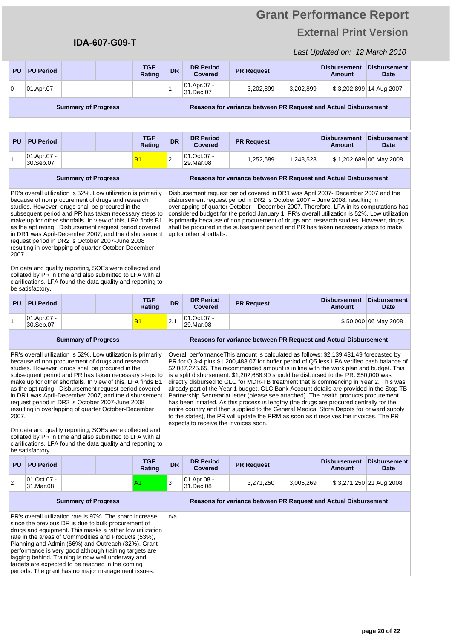### **IDA-607-G09-T**

| PU                                                                                                                                                                                                                                                                                                                                                                                                                                                                                                                                                                                                                                                                                                                                            | <b>PU Period</b>           |                            |  | <b>TGF</b><br>Rating                                            | <b>DR</b>                                                              | <b>DR Period</b><br><b>Covered</b> | <b>PR Request</b> |                                                                                                                                                                                                                                                                                                                                                                                                                                                                                                                                                                                                                                                                                                                                                                                                                                                                                                                                  | Disbursement Disbursement<br><b>Amount</b> | <b>Date</b>                        |  |
|-----------------------------------------------------------------------------------------------------------------------------------------------------------------------------------------------------------------------------------------------------------------------------------------------------------------------------------------------------------------------------------------------------------------------------------------------------------------------------------------------------------------------------------------------------------------------------------------------------------------------------------------------------------------------------------------------------------------------------------------------|----------------------------|----------------------------|--|-----------------------------------------------------------------|------------------------------------------------------------------------|------------------------------------|-------------------|----------------------------------------------------------------------------------------------------------------------------------------------------------------------------------------------------------------------------------------------------------------------------------------------------------------------------------------------------------------------------------------------------------------------------------------------------------------------------------------------------------------------------------------------------------------------------------------------------------------------------------------------------------------------------------------------------------------------------------------------------------------------------------------------------------------------------------------------------------------------------------------------------------------------------------|--------------------------------------------|------------------------------------|--|
| 0                                                                                                                                                                                                                                                                                                                                                                                                                                                                                                                                                                                                                                                                                                                                             | 01.Apr.07 -                |                            |  |                                                                 | 1                                                                      | 01.Apr.07 -<br>31.Dec.07           | 3,202,899         | 3,202,899                                                                                                                                                                                                                                                                                                                                                                                                                                                                                                                                                                                                                                                                                                                                                                                                                                                                                                                        |                                            | \$3,202,899 14 Aug 2007            |  |
|                                                                                                                                                                                                                                                                                                                                                                                                                                                                                                                                                                                                                                                                                                                                               | <b>Summary of Progress</b> |                            |  | Reasons for variance between PR Request and Actual Disbursement |                                                                        |                                    |                   |                                                                                                                                                                                                                                                                                                                                                                                                                                                                                                                                                                                                                                                                                                                                                                                                                                                                                                                                  |                                            |                                    |  |
|                                                                                                                                                                                                                                                                                                                                                                                                                                                                                                                                                                                                                                                                                                                                               |                            |                            |  |                                                                 |                                                                        |                                    |                   |                                                                                                                                                                                                                                                                                                                                                                                                                                                                                                                                                                                                                                                                                                                                                                                                                                                                                                                                  |                                            |                                    |  |
| <b>PU</b>                                                                                                                                                                                                                                                                                                                                                                                                                                                                                                                                                                                                                                                                                                                                     | <b>PU Period</b>           |                            |  | <b>TGF</b><br>Rating                                            | <b>DR</b>                                                              | <b>DR Period</b><br><b>Covered</b> | <b>PR Request</b> |                                                                                                                                                                                                                                                                                                                                                                                                                                                                                                                                                                                                                                                                                                                                                                                                                                                                                                                                  | <b>Disbursement</b><br><b>Amount</b>       | <b>Disbursement</b><br><b>Date</b> |  |
| 1                                                                                                                                                                                                                                                                                                                                                                                                                                                                                                                                                                                                                                                                                                                                             | 01.Apr.07 -<br>30.Sep.07   |                            |  | <b>B1</b>                                                       | 2                                                                      | 01.Oct.07 -<br>29. Mar. 08         | 1,252,689         | 1,248,523                                                                                                                                                                                                                                                                                                                                                                                                                                                                                                                                                                                                                                                                                                                                                                                                                                                                                                                        |                                            | \$1,202,689 06 May 2008            |  |
| <b>Summary of Progress</b>                                                                                                                                                                                                                                                                                                                                                                                                                                                                                                                                                                                                                                                                                                                    |                            |                            |  |                                                                 |                                                                        |                                    |                   | Reasons for variance between PR Request and Actual Disbursement                                                                                                                                                                                                                                                                                                                                                                                                                                                                                                                                                                                                                                                                                                                                                                                                                                                                  |                                            |                                    |  |
| PR's overall utilization is 52%. Low utilization is primarily<br>because of non procurement of drugs and research<br>studies. However, drugs shall be procured in the<br>subsequent period and PR has taken necessary steps to<br>make up for other shortfalls. In view of this, LFA finds B1<br>as the apt rating. Disbursement request period covered<br>in DR1 was April-December 2007, and the disbursement<br>request period in DR2 is October 2007-June 2008<br>resulting in overlapping of quarter October-December<br>2007.<br>On data and quality reporting, SOEs were collected and<br>collated by PR in time and also submitted to LFA with all<br>clarifications. LFA found the data quality and reporting to<br>be satisfactory. |                            |                            |  |                                                                 | up for other shortfalls.                                               |                                    |                   | Disbursement request period covered in DR1 was April 2007- December 2007 and the<br>disbursement request period in DR2 is October 2007 - June 2008; resulting in<br>overlapping of quarter October – December 2007. Therefore, LFA in its computations has<br>considered budget for the period January 1, PR's overall utilization is 52%. Low utilization<br>is primarily because of non procurement of drugs and research studies. However, drugs<br>shall be procured in the subsequent period and PR has taken necessary steps to make                                                                                                                                                                                                                                                                                                                                                                                       |                                            |                                    |  |
| <b>PU</b>                                                                                                                                                                                                                                                                                                                                                                                                                                                                                                                                                                                                                                                                                                                                     | <b>PU Period</b>           |                            |  | <b>TGF</b><br>Rating                                            | <b>DR</b>                                                              | <b>DR Period</b><br><b>Covered</b> | <b>PR Request</b> |                                                                                                                                                                                                                                                                                                                                                                                                                                                                                                                                                                                                                                                                                                                                                                                                                                                                                                                                  | <b>Disbursement</b><br><b>Amount</b>       | <b>Disbursement</b><br><b>Date</b> |  |
| 1                                                                                                                                                                                                                                                                                                                                                                                                                                                                                                                                                                                                                                                                                                                                             | 01.Apr.07 -<br>30.Sep.07   |                            |  | <b>B1</b>                                                       | 2.1                                                                    | 01.Oct.07 -<br>29. Mar. 08         |                   |                                                                                                                                                                                                                                                                                                                                                                                                                                                                                                                                                                                                                                                                                                                                                                                                                                                                                                                                  |                                            | \$50,000 06 May 2008               |  |
|                                                                                                                                                                                                                                                                                                                                                                                                                                                                                                                                                                                                                                                                                                                                               |                            | <b>Summary of Progress</b> |  |                                                                 | Reasons for variance between PR Request and Actual Disbursement        |                                    |                   |                                                                                                                                                                                                                                                                                                                                                                                                                                                                                                                                                                                                                                                                                                                                                                                                                                                                                                                                  |                                            |                                    |  |
| PR's overall utilization is 52%. Low utilization is primarily<br>because of non procurement of drugs and research<br>studies. However, drugs shall be procured in the<br>subsequent period and PR has taken necessary steps to<br>make up for other shortfalls. In view of this, LFA finds B1<br>as the apt rating. Disbursement request period covered<br>in DR1 was April-December 2007, and the disbursement<br>request period in DR2 is October 2007-June 2008<br>resulting in overlapping of quarter October-December<br>2007.<br>On data and quality reporting, SOEs were collected and<br>collated by PR in time and also submitted to LFA with all<br>clarifications. LFA found the data quality and reporting to<br>be satisfactory. |                            |                            |  |                                                                 | expects to receive the invoices soon.                                  |                                    |                   | Overall performanceThis amount is calculated as follows: \$2,139,431.49 forecasted by<br>PR for Q 3-4 plus \$1,200,483.07 for buffer period of Q5 less LFA verified cash balance of<br>\$2,087,225.65. The recommended amount is in line with the work plan and budget. This<br>is a split disbursement. \$1,202,688.90 should be disbursed to the PR. \$50,000 was<br>directly disbursed to GLC for MDR-TB treatment that is commencing in Year 2. This was<br>already part of the Year 1 budget. GLC Bank Account details are provided in the Stop TB<br>Partnership Secretariat letter (please see attached). The health products procurement<br>has been initiated. As this process is lengthy (the drugs are procured centrally for the<br>entire country and then supplied to the General Medical Store Depots for onward supply<br>to the states), the PR will update the PRM as soon as it receives the invoices. The PR |                                            |                                    |  |
| PU                                                                                                                                                                                                                                                                                                                                                                                                                                                                                                                                                                                                                                                                                                                                            | <b>PU Period</b>           |                            |  | <b>TGF</b><br>Rating                                            | <b>DR</b>                                                              | <b>DR Period</b><br><b>Covered</b> | <b>PR Request</b> |                                                                                                                                                                                                                                                                                                                                                                                                                                                                                                                                                                                                                                                                                                                                                                                                                                                                                                                                  | <b>Disbursement</b><br><b>Amount</b>       | <b>Disbursement</b><br><b>Date</b> |  |
| 2                                                                                                                                                                                                                                                                                                                                                                                                                                                                                                                                                                                                                                                                                                                                             | 01.Oct.07 -<br>31.Mar.08   |                            |  | Α1                                                              | 3                                                                      | 01.Apr.08 -<br>31.Dec.08           | 3,271,250         | 3,005,269                                                                                                                                                                                                                                                                                                                                                                                                                                                                                                                                                                                                                                                                                                                                                                                                                                                                                                                        |                                            | \$3,271,250 21 Aug 2008            |  |
| <b>Summary of Progress</b>                                                                                                                                                                                                                                                                                                                                                                                                                                                                                                                                                                                                                                                                                                                    |                            |                            |  |                                                                 | <b>Reasons for variance between PR Request and Actual Disbursement</b> |                                    |                   |                                                                                                                                                                                                                                                                                                                                                                                                                                                                                                                                                                                                                                                                                                                                                                                                                                                                                                                                  |                                            |                                    |  |
| PR's overall utilization rate is 97%. The sharp increase<br>since the previous DR is due to bulk procurement of<br>drugs and equipment. This masks a rather low utilization<br>rate in the areas of Commodities and Products (53%),<br>Planning and Admin (66%) and Outreach (32%). Grant<br>performance is very good although training targets are<br>lagging behind. Training is now well underway and<br>targets are expected to be reached in the coming<br>periods. The grant has no major management issues.                                                                                                                                                                                                                            |                            |                            |  | n/a                                                             |                                                                        |                                    |                   |                                                                                                                                                                                                                                                                                                                                                                                                                                                                                                                                                                                                                                                                                                                                                                                                                                                                                                                                  |                                            |                                    |  |